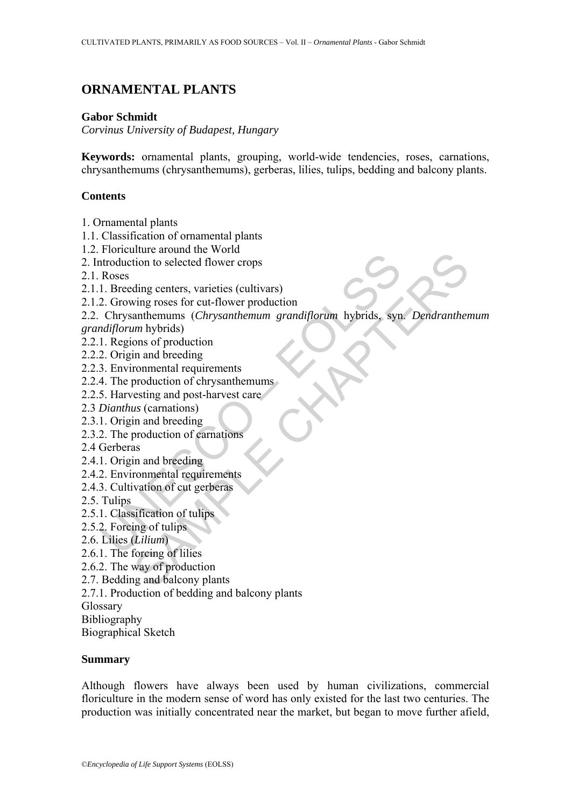# **ORNAMENTAL PLANTS**

### **Gabor Schmidt**

*Corvinus University of Budapest, Hungary* 

**Keywords:** ornamental plants, grouping, world-wide tendencies, roses, carnations, chrysanthemums (chrysanthemums), gerberas, lilies, tulips, bedding and balcony plants.

## **Contents**

- 1. Ornamental plants
- 1.1. Classification of ornamental plants
- 1.2. Floriculture around the World
- 2. Introduction to selected flower crops
- 2.1. Roses
- 2.1.1. Breeding centers, varieties (cultivars)
- 2.1.2. Growing roses for cut-flower production
- From the moral and version<br>
I. Breeding centers, varieties (cultivars)<br>
2. Growing roses for cut-flower production<br>
Chrysanthemum grandiflorum hybrids, syn<br>
diflorum hybrids)<br>
1. Regions of production<br>
2. Origin and breedi man and world<br>winto a selected flower crops<br>ding centers, varieties (cultivars)<br>anthermums (*Chrysanthemum grandiflorum* hybrids, syn. *Dendranther*<br>antherman derecting<br>m hybrids)<br>ons of production<br>to and breeding<br>ronmenta 2.2. Chrysanthemums (*Chrysanthemum grandiflorum* hybrids, syn. *Dendranthemum grandiflorum* hybrids)
- 2.2.1. Regions of production
- 2.2.2. Origin and breeding
- 2.2.3. Environmental requirements
- 2.2.4. The production of chrysanthemums
- 2.2.5. Harvesting and post-harvest care
- 2.3 *Dianthus* (carnations)
- 2.3.1. Origin and breeding
- 2.3.2. The production of carnations
- 2.4 Gerberas
- 2.4.1. Origin and breeding
- 2.4.2. Environmental requirements
- 2.4.3. Cultivation of cut gerberas
- 2.5. Tulips
- 2.5.1. Classification of tulips
- 2.5.2. Forcing of tulips
- 2.6. Lilies (*Lilium*)
- 2.6.1. The forcing of lilies
- 2.6.2. The way of production
- 2.7. Bedding and balcony plants
- 2.7.1. Production of bedding and balcony plants
- Glossary
- Bibliography

Biographical Sketch

## **Summary**

Although flowers have always been used by human civilizations, commercial floriculture in the modern sense of word has only existed for the last two centuries. The production was initially concentrated near the market, but began to move further afield,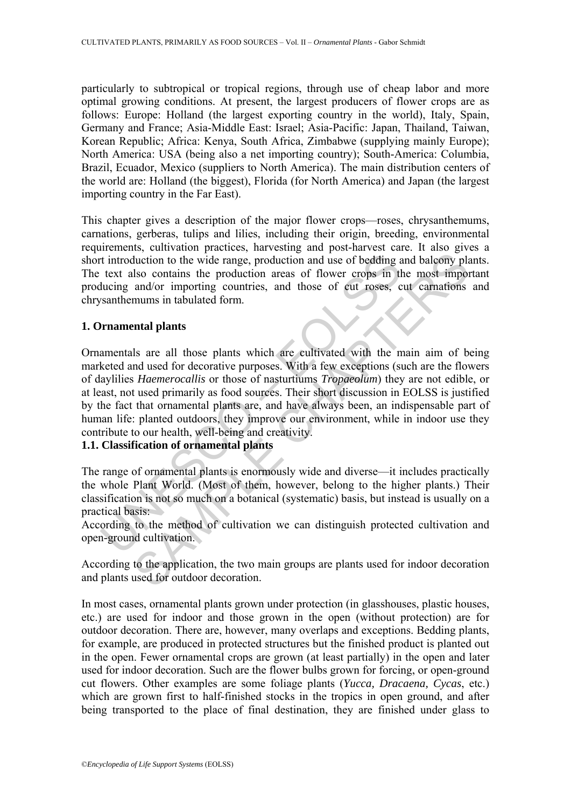particularly to subtropical or tropical regions, through use of cheap labor and more optimal growing conditions. At present, the largest producers of flower crops are as follows: Europe: Holland (the largest exporting country in the world), Italy, Spain, Germany and France; Asia-Middle East: Israel; Asia-Pacific: Japan, Thailand, Taiwan, Korean Republic; Africa: Kenya, South Africa, Zimbabwe (supplying mainly Europe); North America: USA (being also a net importing country); South-America: Columbia, Brazil, Ecuador, Mexico (suppliers to North America). The main distribution centers of the world are: Holland (the biggest), Florida (for North America) and Japan (the largest importing country in the Far East).

This chapter gives a description of the major flower crops—roses, chrysanthemums, carnations, gerberas, tulips and lilies, including their origin, breeding, environmental requirements, cultivation practices, harvesting and post-harvest care. It also gives a short introduction to the wide range, production and use of bedding and balcony plants. The text also contains the production areas of flower crops in the most important producing and/or importing countries, and those of cut roses, cut carnations and chrysanthemums in tabulated form.

# **1. Ornamental plants**

t introduction to the wide range, production and use of bedding a<br>text also contains the production areas of flower crops in the<br>lucing and/or importing countries, and those of eut roses, c<br>santhemums in tabulated form.<br>**P** there is the method of cultivation we can distinguish protected cultivation.<br>
to the method of energie, production and use of bedding and baloony plase contains the production areas of flower crops in the most import<br>
and/ Ornamentals are all those plants which are cultivated with the main aim of being marketed and used for decorative purposes. With a few exceptions (such are the flowers of daylilies *Haemerocallis* or those of nasturtiums *Tropaeolum*) they are not edible, or at least, not used primarily as food sources. Their short discussion in EOLSS is justified by the fact that ornamental plants are, and have always been, an indispensable part of human life: planted outdoors, they improve our environment, while in indoor use they contribute to our health, well-being and creativity.

# **1.1. Classification of ornamental plants**

The range of ornamental plants is enormously wide and diverse—it includes practically the whole Plant World. (Most of them, however, belong to the higher plants.) Their classification is not so much on a botanical (systematic) basis, but instead is usually on a practical basis:

According to the method of cultivation we can distinguish protected cultivation and open-ground cultivation.

According to the application, the two main groups are plants used for indoor decoration and plants used for outdoor decoration.

In most cases, ornamental plants grown under protection (in glasshouses, plastic houses, etc.) are used for indoor and those grown in the open (without protection) are for outdoor decoration. There are, however, many overlaps and exceptions. Bedding plants, for example, are produced in protected structures but the finished product is planted out in the open. Fewer ornamental crops are grown (at least partially) in the open and later used for indoor decoration. Such are the flower bulbs grown for forcing, or open-ground cut flowers. Other examples are some foliage plants (*Yucca, Dracaena, Cycas*, etc.) which are grown first to half-finished stocks in the tropics in open ground, and after being transported to the place of final destination, they are finished under glass to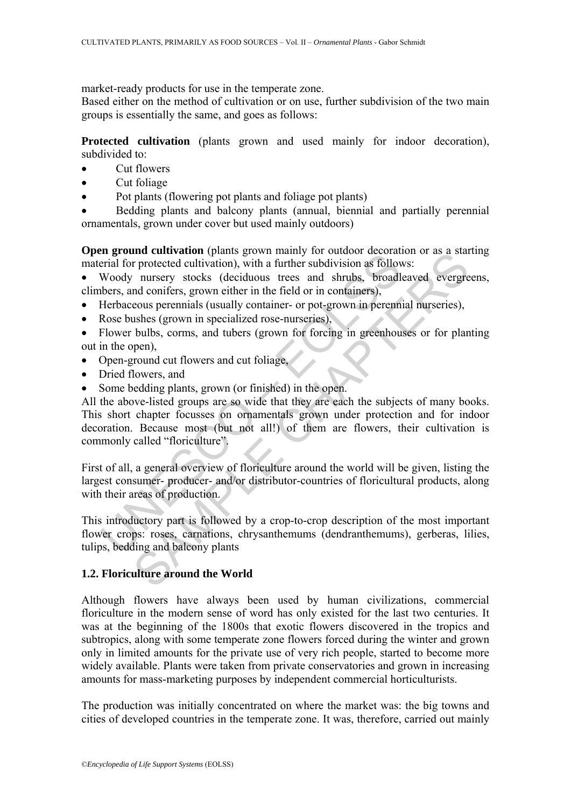market-ready products for use in the temperate zone.

Based either on the method of cultivation or on use, further subdivision of the two main groups is essentially the same, and goes as follows:

**Protected cultivation** (plants grown and used mainly for indoor decoration), subdivided to:

- Cut flowers
- Cut foliage
- Pot plants (flowering pot plants and foliage pot plants)

• Bedding plants and balcony plants (annual, biennial and partially perennial ornamentals, grown under cover but used mainly outdoors)

**Open ground cultivation** (plants grown mainly for outdoor decoration or as a starting material for protected cultivation), with a further subdivision as follows:

• Woody nursery stocks (deciduous trees and shrubs, broadleaved evergreens, climbers, and conifers, grown either in the field or in containers),

- Herbaceous perennials (usually container- or pot-grown in perennial nurseries),
- Rose bushes (grown in specialized rose-nurseries),

• Flower bulbs, corms, and tubers (grown for forcing in greenhouses or for planting out in the open),

- Open-ground cut flowers and cut foliage,
- Dried flowers, and
- Some bedding plants, grown (or finished) in the open.

**Example Control (Matter)** (matter) the section in anily for outoacon cooration priority and the prediction (Matter subdivision as follow<br>Woody nursery stocks (deciduous trees and shrubs, broadlednes, and conifers, grown e Interactivation (planes grown framiny for outdoof uctoration of as a star<br>
in protected cultivation), with a further subdivision as follows:<br>
here intersect and shally container- or pot-grown in peremial nurseries),<br>
expec All the above-listed groups are so wide that they are each the subjects of many books. This short chapter focusses on ornamentals grown under protection and for indoor decoration. Because most (but not all!) of them are flowers, their cultivation is commonly called "floriculture".

First of all, a general overview of floriculture around the world will be given, listing the largest consumer- producer- and/or distributor-countries of floricultural products, along with their areas of production.

This introductory part is followed by a crop-to-crop description of the most important flower crops: roses, carnations, chrysanthemums (dendranthemums), gerberas, lilies, tulips, bedding and balcony plants

# **1.2. Floriculture around the World**

Although flowers have always been used by human civilizations, commercial floriculture in the modern sense of word has only existed for the last two centuries. It was at the beginning of the 1800s that exotic flowers discovered in the tropics and subtropics, along with some temperate zone flowers forced during the winter and grown only in limited amounts for the private use of very rich people, started to become more widely available. Plants were taken from private conservatories and grown in increasing amounts for mass-marketing purposes by independent commercial horticulturists.

The production was initially concentrated on where the market was: the big towns and cities of developed countries in the temperate zone. It was, therefore, carried out mainly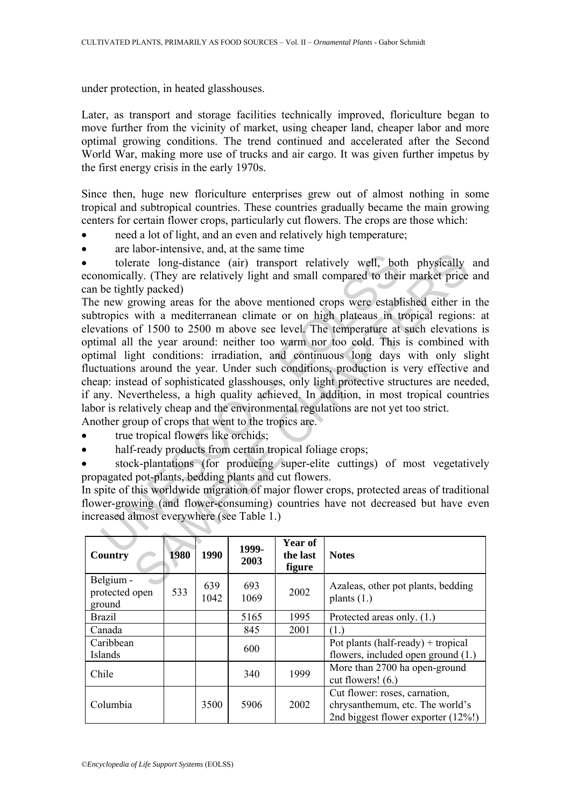under protection, in heated glasshouses.

Later, as transport and storage facilities technically improved, floriculture began to move further from the vicinity of market, using cheaper land, cheaper labor and more optimal growing conditions. The trend continued and accelerated after the Second World War, making more use of trucks and air cargo. It was given further impetus by the first energy crisis in the early 1970s.

Since then, huge new floriculture enterprises grew out of almost nothing in some tropical and subtropical countries. These countries gradually became the main growing centers for certain flower crops, particularly cut flowers. The crops are those which:

- need a lot of light, and an even and relatively high temperature;
- are labor-intensive, and, at the same time

• tolerate long-distance (air) transport relatively well, both physically and economically. (They are relatively light and small compared to their market price and can be tightly packed)

increased tong-distance (air) transport relatively well, both comically. (They are relatively light and small compared to their be tightly packed) new growing areas for the above mentioned crops were estable to measure of moor mensive, and, are also commonlined to the lines of the common terms of the common terms of the and compared to their market price thy packed)<br>Ily. (They are relatively light and small compared to their market price tl The new growing areas for the above mentioned crops were established either in the subtropics with a mediterranean climate or on high plateaus in tropical regions: at elevations of 1500 to 2500 m above see level. The temperature at such elevations is optimal all the year around: neither too warm nor too cold. This is combined with optimal light conditions: irradiation, and continuous long days with only slight fluctuations around the year. Under such conditions, production is very effective and cheap: instead of sophisticated glasshouses, only light protective structures are needed, if any. Nevertheless, a high quality achieved. In addition, in most tropical countries labor is relatively cheap and the environmental regulations are not yet too strict.

Another group of crops that went to the tropics are.

- true tropical flowers like orchids;
- half-ready products from certain tropical foliage crops;

• stock-plantations (for producing super-elite cuttings) of most vegetatively propagated pot-plants, bedding plants and cut flowers.

In spite of this worldwide migration of major flower crops, protected areas of traditional flower-growing (and flower-consuming) countries have not decreased but have even increased almost everywhere (see Table 1.)

| Country                               | 1980 | 1990        | 1999-<br>2003 | Year of<br>the last<br>figure | <b>Notes</b>                                                                                             |
|---------------------------------------|------|-------------|---------------|-------------------------------|----------------------------------------------------------------------------------------------------------|
| Belgium -<br>protected open<br>ground | 533  | 639<br>1042 | 693<br>1069   | 2002                          | Azaleas, other pot plants, bedding<br>plants $(1.)$                                                      |
| <b>Brazil</b>                         |      |             | 5165          | 1995                          | Protected areas only. (1.)                                                                               |
| Canada                                |      |             | 845           | 2001                          | (1.)                                                                                                     |
| Caribbean<br>Islands                  |      |             | 600           |                               | Pot plants (half-ready) + tropical<br>flowers, included open ground (1.)                                 |
| Chile                                 |      |             | 340           | 1999                          | More than 2700 ha open-ground<br>cut flowers! $(6.)$                                                     |
| Columbia                              |      | 3500        | 5906          | 2002                          | Cut flower: roses, carnation,<br>chrysanthemum, etc. The world's<br>2nd biggest flower exporter $(12\%)$ |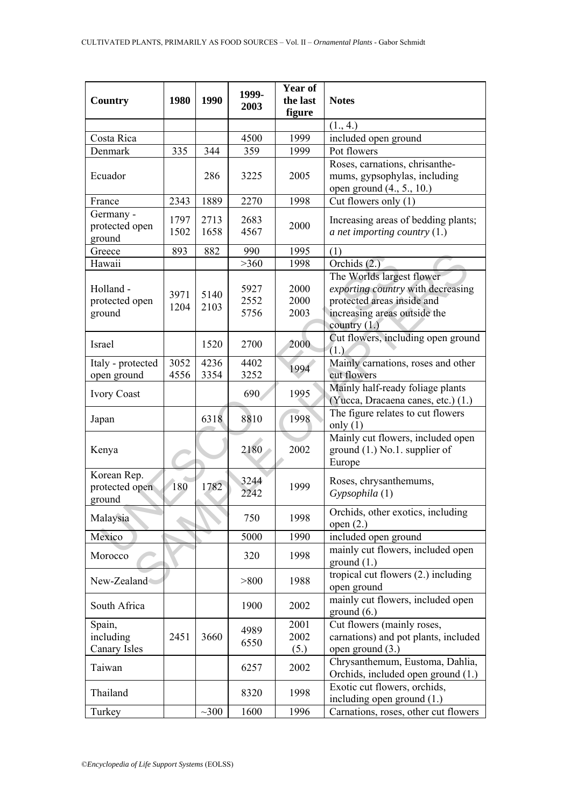| Country                                 | 1980         | 1990         | 1999-<br>2003        | Year of<br>the last<br>figure | <b>Notes</b>                                                                                                                                   |
|-----------------------------------------|--------------|--------------|----------------------|-------------------------------|------------------------------------------------------------------------------------------------------------------------------------------------|
|                                         |              |              |                      |                               | (1., 4.)                                                                                                                                       |
| Costa Rica                              |              |              | 4500                 | 1999                          | included open ground                                                                                                                           |
| Denmark                                 | 335          | 344          | 359                  | 1999                          | Pot flowers                                                                                                                                    |
| Ecuador                                 |              | 286          | 3225                 | 2005                          | Roses, carnations, chrisanthe-<br>mums, gypsophylas, including<br>open ground (4., 5., 10.)                                                    |
| France                                  | 2343         | 1889         | 2270                 | 1998                          | Cut flowers only (1)                                                                                                                           |
| Germany -<br>protected open<br>ground   | 1797<br>1502 | 2713<br>1658 | 2683<br>4567         | 2000                          | Increasing areas of bedding plants;<br>a net importing country $(1.)$                                                                          |
| Greece                                  | 893          | 882          | 990                  | 1995                          | (1)                                                                                                                                            |
| Hawaii                                  |              |              | >360                 | 1998                          | Orchids (2.)                                                                                                                                   |
| Holland -<br>protected open<br>ground   | 3971<br>1204 | 5140<br>2103 | 5927<br>2552<br>5756 | 2000<br>2000<br>2003          | The Worlds largest flower<br>exporting country with decreasing<br>protected areas inside and<br>increasing areas outside the<br>country $(1.)$ |
| Israel                                  |              | 1520         | 2700                 | 2000                          | Cut flowers, including open ground<br>(1.)                                                                                                     |
| Italy - protected                       | 3052         | 4236         | 4402                 | 1994                          | Mainly carnations, roses and other                                                                                                             |
| open ground                             | 4556         | 3354         | 3252                 |                               | cut flowers                                                                                                                                    |
| <b>Ivory Coast</b>                      |              |              | 690                  | 1995                          | Mainly half-ready foliage plants<br>(Yucca, Dracaena canes, etc.) (1.)                                                                         |
| Japan                                   |              | 6318         | 8810                 | 1998                          | The figure relates to cut flowers<br>only $(1)$                                                                                                |
| Kenya                                   |              |              | 2180                 | 2002                          | Mainly cut flowers, included open<br>ground $(1.)$ No.1. supplier of<br>Europe                                                                 |
| Korean Rep.<br>protected open<br>ground | 180          | 1782         | 3244<br>2242         | 1999                          | Roses, chrysanthemums,<br>Gypsophila (1)                                                                                                       |
| Malaysia                                |              |              | 750                  | 1998                          | Orchids, other exotics, including<br>open $(2.)$                                                                                               |
| Mexico                                  |              |              | 5000                 | 1990                          | included open ground                                                                                                                           |
| Morocco                                 |              |              | 320                  | 1998                          | mainly cut flowers, included open<br>ground $(1.)$                                                                                             |
| New-Zealand                             |              |              | > 800                | 1988                          | tropical cut flowers (2.) including<br>open ground                                                                                             |
| South Africa                            |              |              | 1900                 | 2002                          | mainly cut flowers, included open<br>ground $(6.)$                                                                                             |
| Spain,<br>including<br>Canary Isles     | 2451         | 3660         | 4989<br>6550         | 2001<br>2002<br>(5.)          | Cut flowers (mainly roses,<br>carnations) and pot plants, included<br>open ground $(3.)$                                                       |
| Taiwan                                  |              |              | 6257                 | 2002                          | Chrysanthemum, Eustoma, Dahlia,<br>Orchids, included open ground (1.)                                                                          |
| Thailand                                |              |              | 8320                 | 1998                          | Exotic cut flowers, orchids,<br>including open ground $(1.)$                                                                                   |
| Turkey                                  |              | $\sim 300$   | 1600                 | 1996                          | Carnations, roses, other cut flowers                                                                                                           |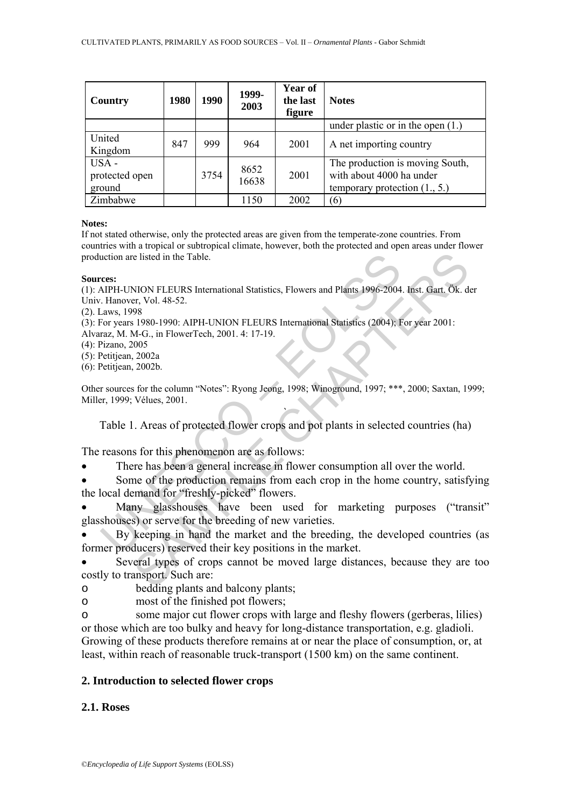| Country                           | 1980 | 1990 | 1999-<br>2003 | <b>Year of</b><br>the last<br>figure | <b>Notes</b>                                                                                   |
|-----------------------------------|------|------|---------------|--------------------------------------|------------------------------------------------------------------------------------------------|
|                                   |      |      |               |                                      | under plastic or in the open $(1.)$                                                            |
| United<br>Kingdom                 | 847  | 999  | 964           | 2001                                 | A net importing country                                                                        |
| USA -<br>protected open<br>ground |      | 3754 | 8652<br>16638 | 2001                                 | The production is moving South,<br>with about 4000 ha under<br>temporary protection $(1., 5.)$ |
| Zimbabwe                          |      |      | 1150          | 2002                                 | (6)                                                                                            |

### **Notes:**

If not stated otherwise, only the protected areas are given from the temperate-zone countries. From countries with a tropical or subtropical climate, however, both the protected and open areas under flower production are listed in the Table.

### **Sources:**

(1): AIPH-UNION FLEURS International Statistics, Flowers and Plants 1996-2004. Inst. Gart. Ök. der Univ. Hanover, Vol. 48-52.

(2). Laws, 1998

(3): For years 1980-1990: AIPH-UNION FLEURS International Statistics (2004); For year 2001:

- Alvaraz, M. M-G., in FlowerTech, 2001. 4: 17-19.
- (4): Pizano, 2005
- (5): Petitjean, 2002a
- (6): Petitjean, 2002b.

Other sources for the column "Notes": Ryong Jeong, 1998; Winoground, 1997; \*\*\*, 2000; Saxtan, 1999; Miller, 1999; Vélues, 2001.

` Table 1. Areas of protected flower crops and pot plants in selected countries (ha)

The reasons for this phenomenon are as follows:

- There has been a general increase in flower consumption all over the world.
- Some of the production remains from each crop in the home country, satisfying the local demand for "freshly-picked" flowers.
- uction are listed in the Table.<br>
Than everstand Statistics, Flowers and Plants 1996-2004<br>
HPH-UNION FLEURS International Statistics, Flowers and Plants 1996-2004<br>
Almos, 1998<br>
For years 1980-1990: AIPH-UNION FLEURS Interna e listed in the Table.<br>
NION FLEURS International Statistics, Flowers and Plants 1996-2004. Inst. Gart. Ok. d<br>
98<br>
98<br>
98<br>
98<br>
980-1990: AIPH-UNION FLEURS International Statistics (2004). For year 2001:<br>
2002-<br>
2002-<br>
2002 Many glasshouses have been used for marketing purposes ("transit" glasshouses) or serve for the breeding of new varieties.

• By keeping in hand the market and the breeding, the developed countries (as former producers) reserved their key positions in the market.

Several types of crops cannot be moved large distances, because they are too costly to transport. Such are:

o bedding plants and balcony plants;

o most of the finished pot flowers;

o some major cut flower crops with large and fleshy flowers (gerberas, lilies) or those which are too bulky and heavy for long-distance transportation, e.g. gladioli. Growing of these products therefore remains at or near the place of consumption, or, at least, within reach of reasonable truck-transport (1500 km) on the same continent.

# **2. Introduction to selected flower crops**

# **2.1. Roses**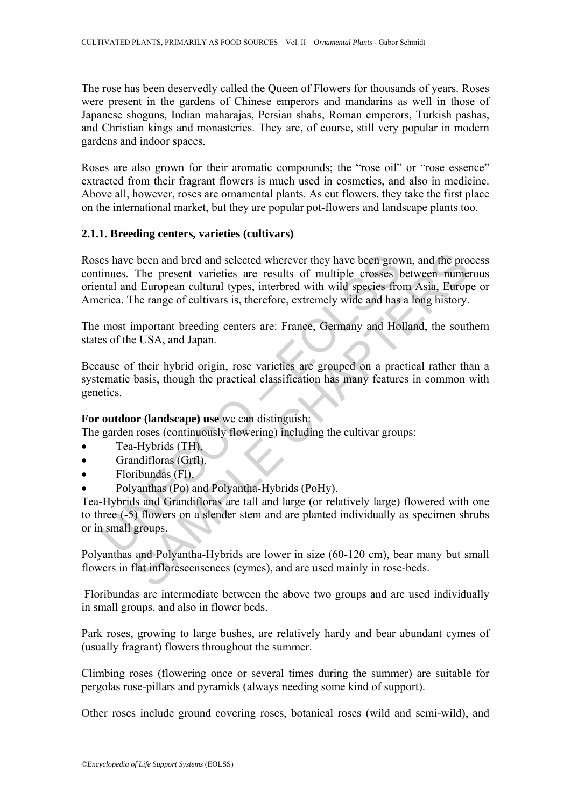The rose has been deservedly called the Queen of Flowers for thousands of years. Roses were present in the gardens of Chinese emperors and mandarins as well in those of Japanese shoguns, Indian maharajas, Persian shahs, Roman emperors, Turkish pashas, and Christian kings and monasteries. They are, of course, still very popular in modern gardens and indoor spaces.

Roses are also grown for their aromatic compounds; the "rose oil" or "rose essence" extracted from their fragrant flowers is much used in cosmetics, and also in medicine. Above all, however, roses are ornamental plants. As cut flowers, they take the first place on the international market, but they are popular pot-flowers and landscape plants too.

# **2.1.1. Breeding centers, varieties (cultivars)**

is that the properties are test and selected wherever they have been growth through that and European cultural types, interbred with wild species from that and European cultural types, interbred with wild species from the been and bred and selected wherever they have been grown, and the pro<br>The present varieties are results of multiple crosses between nume<br>d European cultural types, interbred with wild species from Asia, Europ<br>he range of c Roses have been and bred and selected wherever they have been grown, and the process continues. The present varieties are results of multiple crosses between numerous oriental and European cultural types, interbred with wild species from Asia, Europe or America. The range of cultivars is, therefore, extremely wide and has a long history.

The most important breeding centers are: France, Germany and Holland, the southern states of the USA, and Japan.

Because of their hybrid origin, rose varieties are grouped on a practical rather than a systematic basis, though the practical classification has many features in common with genetics.

# **For outdoor (landscape) use** we can distinguish:

The garden roses (continuously flowering) including the cultivar groups:

- Tea-Hybrids (TH),
- Grandifloras (Grfl),
- Floribundas (Fl),
- Polyanthas (Po) and Polyantha-Hybrids (PoHy).

Tea-Hybrids and Grandifloras are tall and large (or relatively large) flowered with one to three (-5) flowers on a slender stem and are planted individually as specimen shrubs or in small groups.

Polyanthas and Polyantha-Hybrids are lower in size (60-120 cm), bear many but small flowers in flat inflorescensences (cymes), and are used mainly in rose-beds.

 Floribundas are intermediate between the above two groups and are used individually in small groups, and also in flower beds.

Park roses, growing to large bushes, are relatively hardy and bear abundant cymes of (usually fragrant) flowers throughout the summer.

Climbing roses (flowering once or several times during the summer) are suitable for pergolas rose-pillars and pyramids (always needing some kind of support).

Other roses include ground covering roses, botanical roses (wild and semi-wild), and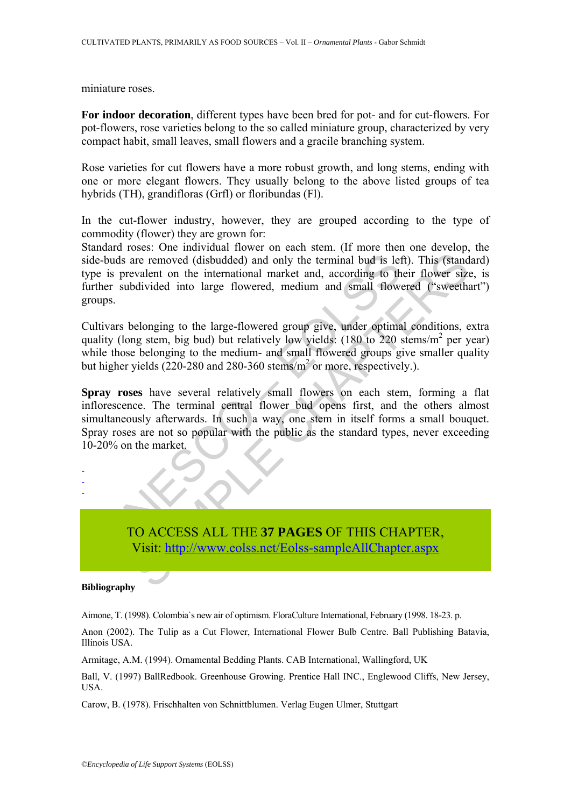miniature roses.

**For indoor decoration**, different types have been bred for pot- and for cut-flowers. For pot-flowers, rose varieties belong to the so called miniature group, characterized by very compact habit, small leaves, small flowers and a gracile branching system.

Rose varieties for cut flowers have a more robust growth, and long stems, ending with one or more elegant flowers. They usually belong to the above listed groups of tea hybrids (TH), grandifloras (Grfl) or floribundas (Fl).

In the cut-flower industry, however, they are grouped according to the type of commodity (flower) they are grown for:

Standard roses: One individual flower on each stem. (If more then one develop, the side-buds are removed (disbudded) and only the terminal bud is left). This (standard) type is prevalent on the international market and, according to their flower size, is further subdivided into large flowered, medium and small flowered ("sweethart") groups.

Cultivars belonging to the large-flowered group give, under optimal conditions, extra quality (long stem, big bud) but relatively low yields:  $(180 \text{ to } 220 \text{ stems/m}^2 \text{ per year})$ while those belonging to the medium- and small flowered groups give smaller quality but higher yields  $(220-280$  and  $280-360$  stems/m<sup>2</sup> or more, respectively.).

-buds are removed (disbudded) and only the terminal bud is let<br>
is prevalent on the international market and, according to the<br>
her subdivided into large flowered, medium and small flower<br>
ups.<br>
itivars belonging to the la are removed (disbudded) and only the terminal bud is left). This (stand<br>valent on the international market and, according to their flower size<br>divided into large flowered, medium and small flowered ("sweetha<br>belonging to t **Spray roses** have several relatively small flowers on each stem, forming a flat inflorescence. The terminal central flower bud opens first, and the others almost simultaneously afterwards. In such a way, one stem in itself forms a small bouquet. Spray roses are not so popular with the public as the standard types, never exceeding 10-20% on the market.

- - -

> TO ACCESS ALL THE **37 PAGES** OF THIS CHAPTER, Visit: http://www.eolss.net/Eolss-sampleAllChapter.aspx

#### **Bibliography**

Aimone, T. (1998). Colombia`s new air of optimism. FloraCulture International, February (1998. 18-23. p.

Anon (2002). The Tulip as a Cut Flower, International Flower Bulb Centre. Ball Publishing Batavia, Illinois USA.

Armitage, A.M. (1994). Ornamental Bedding Plants. CAB International, Wallingford, UK

Ball, V. (1997) BallRedbook. Greenhouse Growing. Prentice Hall INC., Englewood Cliffs, New Jersey, USA.

Carow, B. (1978). Frischhalten von Schnittblumen. Verlag Eugen Ulmer, Stuttgart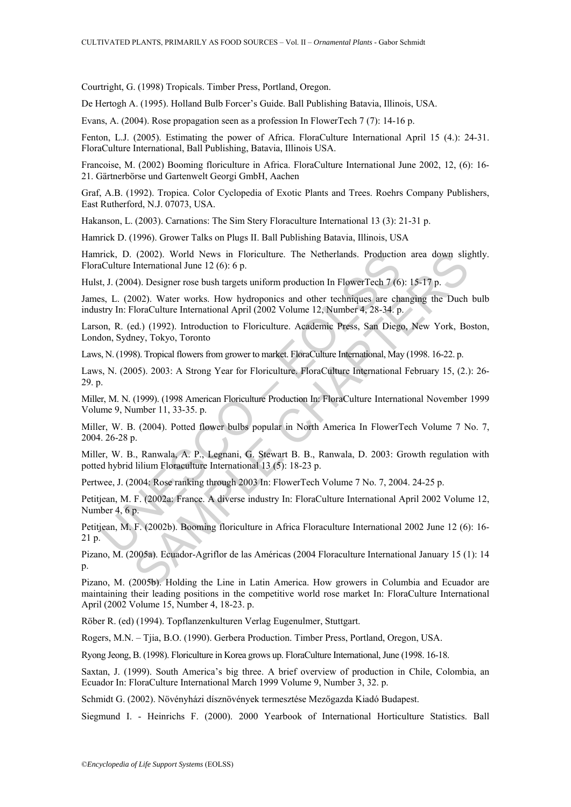Courtright, G. (1998) Tropicals. Timber Press, Portland, Oregon.

De Hertogh A. (1995). Holland Bulb Forcer's Guide. Ball Publishing Batavia, Illinois, USA.

Evans, A. (2004). Rose propagation seen as a profession In FlowerTech 7 (7): 14-16 p.

Fenton, L.J. (2005). Estimating the power of Africa. FloraCulture International April 15 (4.): 24-31. FloraCulture International, Ball Publishing, Batavia, Illinois USA.

Francoise, M. (2002) Booming floriculture in Africa. FloraCulture International June 2002, 12, (6): 16- 21. Gärtnerbörse und Gartenwelt Georgi GmbH, Aachen

Graf, A.B. (1992). Tropica. Color Cyclopedia of Exotic Plants and Trees. Roehrs Company Publishers, East Rutherford, N.J. 07073, USA.

Hakanson, L. (2003). Carnations: The Sim Stery Floraculture International 13 (3): 21-31 p.

Hamrick D. (1996). Grower Talks on Plugs II. Ball Publishing Batavia, Illinois, USA

Hamrick, D. (2002). World News in Floriculture. The Netherlands. Production area down slightly. FloraCulture International June 12 (6): 6 p.

Hulst, J. (2004). Designer rose bush targets uniform production In FlowerTech 7 (6): 15-17 p.

James, L. (2002). Water works. How hydroponics and other techniques are changing the Duch bulb industry In: FloraCulture International April (2002 Volume 12, Number 4, 28-34. p.

Larson, R. (ed.) (1992). Introduction to Floriculture. Academic Press, San Diego, New York, Boston, London, Sydney, Tokyo, Toronto

Laws, N. (1998). Tropical flowers from grower to market. FloraCulture International, May (1998. 16-22. p.

rick, D. (2002). World News in Floriculture. The Netherlands. Production<br>Culture International June 12 (6): 6 p.<br>Culture International June 12 (6): 6 p.<br>S.s. L. (2004). Designer rose bush targets uniform production In Flow (2002). World News in Floriculture. The Netherlands. Production area down slighten<br>anisonal June 12 (6): 6 p.<br>
International June 12 (6): 6 p.<br>
14). Designer rose bush targets uniform production In FlowerTech 7 (6): 15-17 Laws, N. (2005). 2003: A Strong Year for Floriculture. FloraCulture International February 15, (2.): 26- 29. p.

Miller, M. N. (1999). (1998 American Floriculture Production In: FloraCulture International November 1999 Volume 9, Number 11, 33-35. p.

Miller, W. B. (2004). Potted flower bulbs popular in North America In FlowerTech Volume 7 No. 7, 2004. 26-28 p.

Miller, W. B., Ranwala, A. P., Legnani, G. Stewart B. B., Ranwala, D. 2003: Growth regulation with potted hybrid lilium Floraculture International 13 (5): 18-23 p.

Pertwee, J. (2004: Rose ranking through 2003 In: FlowerTech Volume 7 No. 7, 2004. 24-25 p.

Petitjean, M. F. (2002a: France. A diverse industry In: FloraCulture International April 2002 Volume 12, Number 4, 6 p.

Petitjean, M. F. (2002b). Booming floriculture in Africa Floraculture International 2002 June 12 (6): 16- 21 p.

Pizano, M. (2005a). Ecuador-Agriflor de las Américas (2004 Floraculture International January 15 (1): 14  $p$ .

Pizano, M. (2005b). Holding the Line in Latin America. How growers in Columbia and Ecuador are maintaining their leading positions in the competitive world rose market In: FloraCulture International April (2002 Volume 15, Number 4, 18-23. p.

Röber R. (ed) (1994). Topflanzenkulturen Verlag Eugenulmer, Stuttgart.

Rogers, M.N. – Tjia, B.O. (1990). Gerbera Production. Timber Press, Portland, Oregon, USA.

Ryong Jeong, B. (1998). Floriculture in Korea grows up. FloraCulture International, June (1998. 16-18.

Saxtan, J. (1999). South America's big three. A brief overview of production in Chile, Colombia, an Ecuador In: FloraCulture International March 1999 Volume 9, Number 3, 32. p.

Schmidt G. (2002). Növényházi dísznövények termesztése Mezőgazda Kiadó Budapest.

Siegmund I. - Heinrichs F. (2000). 2000 Yearbook of International Horticulture Statistics. Ball